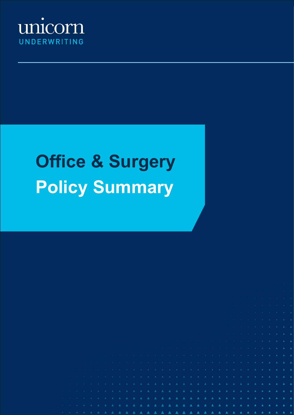

# **Office & Surgery Policy Summary**

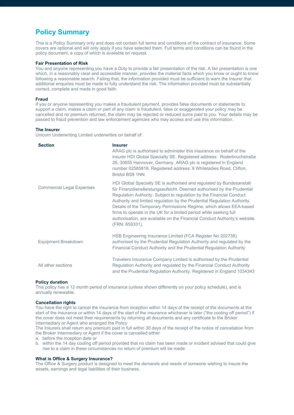# **Policy Summary**

This is a Policy Summary only and does not contain full terms and conditions of the contract of insurance. Some covers are optional and will only apply if you have selected them. Full terms and conditions can be found in the policy document, a copy of which is available on request.

#### **Fair Presentation of Risk**

You and anyone representing you have a Duty to provide a fair presentation of the risk. A fair presentation is one which, in a reasonably clear and accessible manner, provides the material facts which you know or ought to know following a reasonable search. Failing that, the information provided must be sufficient to warn the Insurer that additional enquiries must be made to fully understand the risk. The information provided must be substantially correct, complete and made in good faith.

#### **Fraud**

If you or anyone representing you makes a fraudulent payment, provides false documents or statements to support a claim, makes a claim or part of any claim is fraudulent, false or exaggerated your policy may be cancelled and no premium returned, the claim may be rejected or reduced sums paid to you. Your details may be passed to fraud prevention and law enforcement agencies who may access and use this information.

#### **The Insurer**

Unicorn Underwriting Limited underwrites on behalf of:

| <b>Section</b>                   | <b>Insurer</b><br>ARAG plc is authorised to administer this insurance on behalf of the<br>insurer HDI Global Specialty SE. Registered address: Roderbruchstraße<br>26, 30655 Hannover, Germany. ARAG plc is registered in England<br>number 02585818. Registered address: 9 Whiteladies Road, Clifton,<br>Bristol BS8 1NN.                                                                                                                                                                                                                      |
|----------------------------------|-------------------------------------------------------------------------------------------------------------------------------------------------------------------------------------------------------------------------------------------------------------------------------------------------------------------------------------------------------------------------------------------------------------------------------------------------------------------------------------------------------------------------------------------------|
| <b>Commercial Legal Expenses</b> | HDI Global Specialty SE is authorised and regulated by Bundesanstalt<br>für Finanzdienstleistungsaufsicht. Deemed authorised by the Prudential<br>Regulation Authority. Subject to regulation by the Financial Conduct<br>Authority and limited regulation by the Prudential Regulation Authority.<br>Details of the Temporary Permissions Regime, which allows EEA-based<br>firms to operate in the UK for a limited period while seeking full<br>authorisation, are available on the Financial Conduct Authority's website.<br>(FRN: 659331). |
| <b>Equipment Breakdown</b>       | HSB Engineering Insurance Limited (FCA Register No 202738)<br>authorised by the Prudential Regulation Authority and regulated by the<br>Financial Conduct Authority and the Prudential Regulation Authority                                                                                                                                                                                                                                                                                                                                     |
| All other sections               | Travelers Insurance Company Limited is authorised by the Prudential<br>Regulation Authority and regulated by the Financial Conduct Authority<br>and the Prudential Regulation Authority. Registered in England 1034343                                                                                                                                                                                                                                                                                                                          |

#### **Policy duration**

This policy has a 12 month period of insurance (unless shown differently on your policy schedule), and is annually renewable.

#### **Cancellation rights**

You have the right to cancel the insurance from inception within 14 days of the receipt of the documents at the start of the insurance or within 14 days of the start of the insurance whichever is later ("the cooling off period") if the cover does not meet their requirements by returning all documents and any certificate to the Broker Intermediary or Agent who arranged the Policy

The Insurers shall return any premium paid in full within 30 days of the receipt of the notice of cancellation from the Broker Intermediary or Agent if the cover is cancelled either

a. before the inception date or

b. within the 14 day cooling off period provided that no claim has been made or incident advised that could give rise to a claim in these circumstances no return of premium will be made

## **What is Office & Surgery Insurance?**

The Office & Surgery product is designed to meet the demands and needs of someone wishing to insure the assets, earnings and legal liabilities of their business.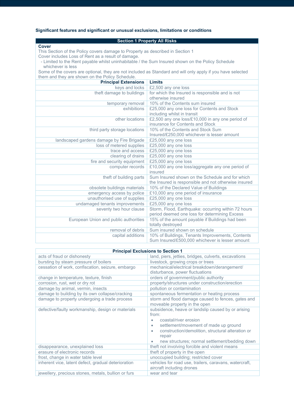# **Significant features and significant or unusual exclusions, limitations or conditions**

# **Section 1 Property All Risks**

**Cover**

This Section of the Policy covers damage to Property as described in Section 1 Cover includes Loss of Rent as a result of damage.

 - Limited to the Rent payable whilst uninhabitable / the Sum Insured shown on the Policy Schedule whichever is less

Some of the covers are optional, they are not included as Standard and will only apply if you have selected them and they are shown on the Policy Schedule.

| <b>Principal Extensions</b>               | <b>Limits</b>                                        |
|-------------------------------------------|------------------------------------------------------|
| keys and locks                            | £2,500 any one loss                                  |
| theft damage to buildings                 | for which the Insured is responsible and is not      |
|                                           | otherwise insured                                    |
| temporary removal                         | 10% of the Contents sum insured                      |
| exhibitions                               | £25,000 any one loss for Contents and Stock          |
|                                           | including whilst in transit                          |
| other locations                           | £2,500 any one loss/£10,000 in any one period of     |
|                                           | insurance for Contents and Stock                     |
| third party storage locations             | 10% of the Contents and Stock Sum                    |
|                                           | Insured/£250,000 whichever is lesser amount          |
| landscaped gardens damage by Fire Brigade | £25,000 any one loss                                 |
| loss of metered supplies                  | £25,000 any one loss                                 |
| trace and access                          | £25,000 any one loss                                 |
| clearing of drains                        | £25,000 any one loss                                 |
| fire and security equipment               | £25,000 any one loss                                 |
| computer records                          | £10,000 any one loss/aggregate any one period of     |
|                                           | insured                                              |
| theft of building parts                   | Sum Insured shown on the Schedule and for which      |
|                                           | the Insured is responsible and not otherwise insured |
| obsolete buildings materials              | 10% of the Declared Value of Buildings               |
| emergency access by police                | £10,000 any one period of insurance                  |
| unauthorised use of supplies              | £25,000 any one loss                                 |
| undamaged tenants improvements            | £25,000 any one loss                                 |
| seventy two hour clause                   | Storm, Flood, Earthquake: occurring within 72 hours  |
|                                           | period deemed one loss for determining Excess        |
| European Union and public authorities     | 15% of the amount payable if Buildings had been      |
|                                           | totally destroyed                                    |
| removal of debris                         | Sum insured shown on schedule                        |
| capital additions                         | 10% of Buildings, Tenants Improvements, Contents     |
|                                           | Sum Insured/£500,000 whichever is lesser amount      |

| <b>Principal Exclusions to Section 1</b>            |                                                        |
|-----------------------------------------------------|--------------------------------------------------------|
| acts of fraud or dishonesty                         | land, piers, jetties, bridges, culverts, excavations   |
| bursting by steam pressure of boilers               | livestock, growing crops or trees                      |
| cessation of work, confiscation, seizure, embargo   | mechanical/electrical breakdown/derangement/           |
|                                                     | disturbance, power fluctuations                        |
| change in temperature, texture, finish              | orders of government/public authority                  |
| corrosion, rust, wet or dry rot                     | property/structures under construction/erection        |
| damage by animal, vermin, insects                   | pollution or contamination                             |
| damage to building by its own collapse/cracking     | spontaneous fermentation or heating process            |
| damage to property undergoing a trade process       | storm and flood damage caused to fences, gates and     |
|                                                     | moveable property in the open                          |
| defective/faulty workmanship, design or materials   | subsidence, heave or landslip caused by or arising     |
|                                                     | from:                                                  |
|                                                     | coastal/river erosion                                  |
|                                                     | settlement/movement of made up ground                  |
|                                                     | construction/demolition, structural alteration or      |
|                                                     | repair                                                 |
|                                                     | new structures; normal settlement/bedding down         |
| disappearance, unexplained loss                     | theft not involving forcible and violent means         |
| erasure of electronic records                       | theft of property in the open                          |
| frost, change in water table level                  | unoccupied building; restricted cover                  |
| inherent vice, latent defect, gradual deterioration | vehicles for road use, trailers, caravans, watercraft, |
|                                                     | aircraft including drones                              |
| jewellery, precious stones, metals, bullion or furs | wear and tear                                          |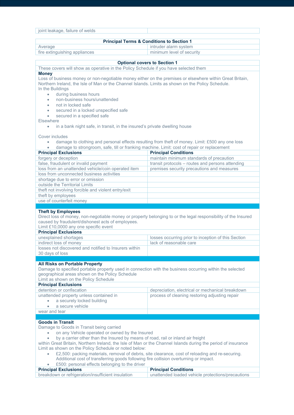| joint leakage, failure of welds                                                                                                                                                                                                                                                                                                                                                                                                                                                                                                                                       |                                                                                                  |  |
|-----------------------------------------------------------------------------------------------------------------------------------------------------------------------------------------------------------------------------------------------------------------------------------------------------------------------------------------------------------------------------------------------------------------------------------------------------------------------------------------------------------------------------------------------------------------------|--------------------------------------------------------------------------------------------------|--|
|                                                                                                                                                                                                                                                                                                                                                                                                                                                                                                                                                                       |                                                                                                  |  |
| <b>Principal Terms &amp; Conditions to Section 1</b>                                                                                                                                                                                                                                                                                                                                                                                                                                                                                                                  |                                                                                                  |  |
| Average<br>fire extinguishing appliances                                                                                                                                                                                                                                                                                                                                                                                                                                                                                                                              | intruder alarm system<br>minimum level of security                                               |  |
|                                                                                                                                                                                                                                                                                                                                                                                                                                                                                                                                                                       |                                                                                                  |  |
|                                                                                                                                                                                                                                                                                                                                                                                                                                                                                                                                                                       | <b>Optional covers to Section 1</b>                                                              |  |
| These covers will show as operative in the Policy Schedule if you have selected them                                                                                                                                                                                                                                                                                                                                                                                                                                                                                  |                                                                                                  |  |
| <b>Money</b><br>Loss of business money or non-negotiable money either on the premises or elsewhere within Great Britain,<br>Northern Ireland, the Isle of Man or the Channel Islands. Limits as shown on the Policy Schedule.<br>In the Buildings<br>during business hours<br>$\bullet$<br>non-business hours/unattended<br>۰<br>not in locked safe<br>۰<br>secured in a locked unspecified safe<br>secured in a specified safe<br>$\bullet$<br>Elsewhere<br>in a bank night safe, in transit, in the insured's private dwelling house<br>$\bullet$<br>Cover includes | damage to clothing and personal effects resulting from theft of money. Limit: £500 any one loss  |  |
| damage to strongroom, safe, till or franking machine. Limit: cost of repair or replacement                                                                                                                                                                                                                                                                                                                                                                                                                                                                            |                                                                                                  |  |
| <b>Principal Exclusions</b>                                                                                                                                                                                                                                                                                                                                                                                                                                                                                                                                           | <b>Principal Conditions</b>                                                                      |  |
| forgery or deception                                                                                                                                                                                                                                                                                                                                                                                                                                                                                                                                                  | maintain minimum standards of precaution                                                         |  |
| false, fraudulent or invalid payment                                                                                                                                                                                                                                                                                                                                                                                                                                                                                                                                  | transit protocols - routes and persons attending                                                 |  |
| loss from an unattended vehicle/coin operated item                                                                                                                                                                                                                                                                                                                                                                                                                                                                                                                    | premises security precautions and measures                                                       |  |
| loss from unconnected business activities                                                                                                                                                                                                                                                                                                                                                                                                                                                                                                                             |                                                                                                  |  |
| shortage due to error or omission                                                                                                                                                                                                                                                                                                                                                                                                                                                                                                                                     |                                                                                                  |  |
| outside the Territorial Limits                                                                                                                                                                                                                                                                                                                                                                                                                                                                                                                                        |                                                                                                  |  |
| theft not involving forcible and violent entry/exit                                                                                                                                                                                                                                                                                                                                                                                                                                                                                                                   |                                                                                                  |  |
| theft by employees                                                                                                                                                                                                                                                                                                                                                                                                                                                                                                                                                    |                                                                                                  |  |
| use of counterfeit money                                                                                                                                                                                                                                                                                                                                                                                                                                                                                                                                              |                                                                                                  |  |
| <b>Theft by Employees</b><br>Direct loss of money, non-negotiable money or property belonging to or the legal responsibility of the Insured<br>caused by fraudulent/dishonest acts of employees.<br>Limit £10,0000 any one specific event<br><b>Principal Exclusions</b><br>unexplained shortages                                                                                                                                                                                                                                                                     | losses occurring prior to inception of this Section                                              |  |
| indirect loss of money                                                                                                                                                                                                                                                                                                                                                                                                                                                                                                                                                | lack of reasonable care                                                                          |  |
| losses not discovered and notified to Insurers within                                                                                                                                                                                                                                                                                                                                                                                                                                                                                                                 |                                                                                                  |  |
| 30 days of loss                                                                                                                                                                                                                                                                                                                                                                                                                                                                                                                                                       |                                                                                                  |  |
|                                                                                                                                                                                                                                                                                                                                                                                                                                                                                                                                                                       |                                                                                                  |  |
| <b>All Risks on Portable Property</b><br>Damage to specified portable property used in connection with the business occurring within the selected<br>geographical areas shown on the Policy Schedule<br>Limit as shown on the Policy Schedule                                                                                                                                                                                                                                                                                                                         |                                                                                                  |  |
| <b>Principal Exclusions</b><br>detention or confiscation                                                                                                                                                                                                                                                                                                                                                                                                                                                                                                              | depreciation, electrical or mechanical breakdown                                                 |  |
| unattended property unless contained in                                                                                                                                                                                                                                                                                                                                                                                                                                                                                                                               | process of cleaning restoring adjusting repair                                                   |  |
| a securely locked building                                                                                                                                                                                                                                                                                                                                                                                                                                                                                                                                            |                                                                                                  |  |
|                                                                                                                                                                                                                                                                                                                                                                                                                                                                                                                                                                       |                                                                                                  |  |
|                                                                                                                                                                                                                                                                                                                                                                                                                                                                                                                                                                       |                                                                                                  |  |
| a secure vehicle<br>٠                                                                                                                                                                                                                                                                                                                                                                                                                                                                                                                                                 |                                                                                                  |  |
| wear and tear                                                                                                                                                                                                                                                                                                                                                                                                                                                                                                                                                         |                                                                                                  |  |
| <b>Goods in Transit</b><br>Damage to Goods in Transit being carried<br>on any Vehicle operated or owned by the Insured<br>by a carrier other than the Insured by means of road, rail or inland air freight<br>$\bullet$<br>within Great Britain, Northern Ireland, the Isle of Man or the Channel Islands during the period of insurance<br>Limit as shown on the Policy Schedule or noted below:<br>Additional cost of transferring goods following fire collision overturning or impact.<br>£500: personal effects belonging to the driver                          | £2,500: packing materials, removal of debris, site clearance, cost of reloading and re-securing. |  |
| <b>Principal Exclusions</b><br>breakdown or refrigeration/insufficient insulation                                                                                                                                                                                                                                                                                                                                                                                                                                                                                     | <b>Principal Conditions</b><br>unattended loaded vehicle protections/precautions                 |  |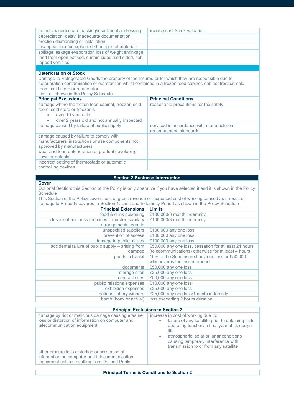| defective/inadequate packing/insufficient addressing                                                         | invoice cost Stock valuation                                                                                         |  |
|--------------------------------------------------------------------------------------------------------------|----------------------------------------------------------------------------------------------------------------------|--|
| depreciation, delay, inadequate documentation                                                                |                                                                                                                      |  |
| erection dismantling or installation                                                                         |                                                                                                                      |  |
| disappearance/unexplained shortages of materials                                                             |                                                                                                                      |  |
| spillage leakage evaporation loss of weight shrinkage                                                        |                                                                                                                      |  |
| theft from open backed, curtain sided, soft sided, soft                                                      |                                                                                                                      |  |
| topped vehicles                                                                                              |                                                                                                                      |  |
|                                                                                                              |                                                                                                                      |  |
| <b>Deterioration of Stock</b>                                                                                |                                                                                                                      |  |
| Damage to Refrigerated Goods the property of the Insured or for which they are responsible due to            |                                                                                                                      |  |
| deterioration contamination or putrefaction whilst contained in a frozen food cabinet, cabinet freezer, cold |                                                                                                                      |  |
| room, cold store or refrigerator                                                                             |                                                                                                                      |  |
| Limit as shown in the Policy Schedule                                                                        |                                                                                                                      |  |
| <b>Principal Exclusions</b>                                                                                  | <b>Principal Conditions</b>                                                                                          |  |
| damage where the frozen food cabinet, freezer, cold                                                          | reasonable precautions for the safety                                                                                |  |
| room, cold store or freezer is                                                                               |                                                                                                                      |  |
| over 10 years old<br>$\bullet$                                                                               |                                                                                                                      |  |
| over 2 years old and not annually inspected<br>$\bullet$                                                     |                                                                                                                      |  |
| damage caused by failure of public supply                                                                    | serviced in accordance with manufacturers'                                                                           |  |
|                                                                                                              | recommended standards                                                                                                |  |
| damage caused by failure to comply with                                                                      |                                                                                                                      |  |
| manufacturers' instructions or use components not                                                            |                                                                                                                      |  |
| approved by manufacturers'                                                                                   |                                                                                                                      |  |
| wear and tear, deterioration or gradual developing                                                           |                                                                                                                      |  |
| flaws or defects                                                                                             |                                                                                                                      |  |
| incorrect setting of thermostatic or automatic                                                               |                                                                                                                      |  |
| controlling devices                                                                                          |                                                                                                                      |  |
|                                                                                                              | <b>Section 2 Business Interruption</b>                                                                               |  |
| Cover                                                                                                        |                                                                                                                      |  |
|                                                                                                              | Optional Section: this Section of the Policy is only operative if you have selected it and it is shown in the Policy |  |
| Schedule                                                                                                     |                                                                                                                      |  |
| This Section of the Policy covers loss of gross revenue or increased cost of working caused as a result of   |                                                                                                                      |  |
| damage to Property covered in Section 1. Limit and Indemnity Period as shown in the Policy Schedule          |                                                                                                                      |  |
| <b>Principal Extensions</b>                                                                                  | <b>Limits</b>                                                                                                        |  |
| food & drink poisoning                                                                                       |                                                                                                                      |  |
|                                                                                                              |                                                                                                                      |  |
|                                                                                                              | £100,000/3 month indemnity                                                                                           |  |
| closure of business premises - murder, sanitary                                                              | £100,000/3 month indemnity                                                                                           |  |
| arrangements, vermin                                                                                         |                                                                                                                      |  |
| unspecified suppliers                                                                                        | £100,000 any one loss                                                                                                |  |
| prevention of access                                                                                         | £100,000 any one loss                                                                                                |  |
| damage to public utilities                                                                                   | £100,000 any one loss                                                                                                |  |
| accidental failure of public supply - arising from                                                           | £50,000 any one loss, cessation for at least 24 hours                                                                |  |
| damage                                                                                                       | (telecommunications) otherwise for at least 4 hours                                                                  |  |
| goods in transit                                                                                             | 10% of the Sum Insured any one loss or £50,000                                                                       |  |
|                                                                                                              | whichever is the lesser amount                                                                                       |  |
| documents                                                                                                    | £50,000 any one loss                                                                                                 |  |
| storage sites                                                                                                | £25,000 any one loss                                                                                                 |  |
| contract sites                                                                                               | £50,000 any one loss                                                                                                 |  |
| public relations expenses                                                                                    | £10,000 any one loss                                                                                                 |  |
| exhibition expenses                                                                                          | £25,000 any one loss                                                                                                 |  |
| national lottery winners<br>bomb (hoax or actual)                                                            | £25,000 any one loss/1month indemnity<br>loss exceeding 2 hours duration                                             |  |

# **Principal Exclusions to Section 2**

Г

| damage by riot or malicious damage causing erasure<br>loss or distortion of information on computer and<br>telecommunication equipment            | increase in cost of working due to:<br>failure of any satellite prior to obtaining its full<br>$\bullet$<br>operating function/in final year of its design<br>life<br>atmospheric, solar or lunar conditions<br>$\bullet$<br>causing temporary interference with<br>transmission to or from any satellite |
|---------------------------------------------------------------------------------------------------------------------------------------------------|-----------------------------------------------------------------------------------------------------------------------------------------------------------------------------------------------------------------------------------------------------------------------------------------------------------|
| other erasure loss distortion or corruption of<br>information on computer and telecommunication<br>equipment unless resulting from Defined Perils |                                                                                                                                                                                                                                                                                                           |
|                                                                                                                                                   |                                                                                                                                                                                                                                                                                                           |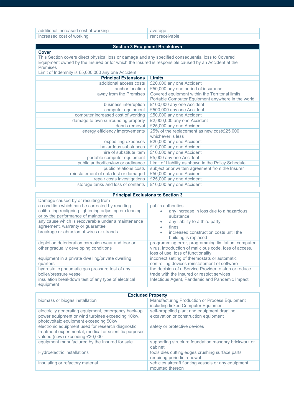| additional increased cost of working |                 |
|--------------------------------------|-----------------|
| increased cost of working            | rent receivable |

# **Section 3 Equipment Breakdown**

# **Cover**

This Section covers direct physical loss or damage and any specified consequential loss to Covered Equipment owned by the Insured or for which the Insured is responsible caused by an Accident at the Premises

| <b>Limits</b>                                      |
|----------------------------------------------------|
| £20,000 any one Accident                           |
| £50,000 any one period of insurance                |
| Covered equipment within the Territorial limits.   |
| Portable Computer Equipment anywhere in the world  |
| £100,000 any one Accident                          |
| £500,000 any one Accident                          |
| £50,000 any one Accident                           |
| £2,000,000 any one Accident                        |
| £25,000 any one Accident                           |
| 25% of the replacement as new cost/£25,000         |
| whichever is less                                  |
| £20,000 any one Accident                           |
| £10,000 any one Accident                           |
| £10,000 any one Accident                           |
| £5,000 any one Accident                            |
| Limit of Liability as shown in the Policy Schedule |
| subject prior written agreement from the Insurer   |
| £50,000 any one Accident                           |
| £25,000 any one Accident                           |
| £10,000 any one Accident                           |
|                                                    |

#### **Principal Exclusions to Section 3**

| Damage caused by or resulting from                                                                                                                 |                                                                                                                                                     |
|----------------------------------------------------------------------------------------------------------------------------------------------------|-----------------------------------------------------------------------------------------------------------------------------------------------------|
| a condition which can be corrected by resetting<br>calibrating realigning tightening adjusting or cleaning<br>or by the performance of maintenance | public authorities<br>any increase in loss due to a hazardous<br>substance                                                                          |
| any cause which is recoverable under a maintenance<br>agreement, warranty or guarantee                                                             | any liability to a third party<br>$\bullet$<br>fines<br>$\bullet$                                                                                   |
| breakage or abrasion of wires or strands                                                                                                           | increased construction costs until the<br>$\bullet$<br>building is replaced                                                                         |
| depletion deterioration corrosion wear and tear or<br>other gradually developing conditions                                                        | programming error, programming limitation, computer<br>virus, introduction of malicious code, loss of access,<br>loss of use, loss of functionality |
| equipment in a private dwelling/private dwelling<br>quarters                                                                                       | incorrect setting of thermostats or automatic<br>controlling devices reinstatement of software                                                      |
| hydrostatic pneumatic gas pressure test of any<br>boiler/pressure vessel                                                                           | the decision of a Service Provider to stop or reduce<br>trade with the Insured or restrict services                                                 |
| insulation breakdown test of any type of electrical<br>equipment                                                                                   | Infectious Agent, Pandemic and Pandemic Impact                                                                                                      |

| <b>Excluded Property</b>                                                                                                                         |                                                                                      |
|--------------------------------------------------------------------------------------------------------------------------------------------------|--------------------------------------------------------------------------------------|
| biomass or biogas installation                                                                                                                   | Manufacturing Production or Process Equipment<br>including linked Computer Equipment |
| electricity generating equipment, emergency back-up<br>power equipment or wind turbines exceeding 10kw,<br>photovoltaic equipment exceeding 50kw | self-propelled plant and equipment dragline<br>excavation or construction equipment  |
| electronic equipment used for research diagnostic<br>treatment experimental, medical or scientific purposes<br>valued (new) exceeding £30,000    | safety or protective devices                                                         |
| equipment manufactured by the Insured for sale                                                                                                   | supporting structure foundation masonry brickwork or<br>cabinet                      |
| Hydroelectric installations                                                                                                                      | tools dies cutting edges crushing surface parts<br>requiring periodic renewal        |
| insulating or refactory material                                                                                                                 | vehicles aircraft floating vessels or any equipment<br>mounted thereon               |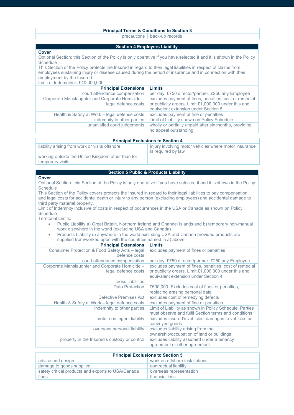#### **Principal Terms & Conditions to Section 3**

precautions back-up records

#### **Section 4 Employers Liability**

#### **Cover**

Optional Section: this Section of the Policy is only operative if you have selected it and it is shown in the Policy **Schedule** 

This Section of the Policy protects the Insured in regard to their legal liabilities in respect of claims from employees sustaining injury or disease caused during the period of insurance and in connection with their employment by the Insured.

Limit of Indemnity is £10,000,000

| <b>Principal Extensions</b>                     | Limits                                                 |
|-------------------------------------------------|--------------------------------------------------------|
| court attendance compensation                   | per day: £750 director/partner, £250 any Employee      |
| Corporate Manslaughter and Corporate Homicide - | excludes payment of fines, penalties, cost of remedial |
| legal defence costs                             | or publicity orders. Limit £1,000,000 under this and   |
|                                                 | equivalent extension under Section 5                   |
| Health & Safety at Work – legal defence costs   | excludes payment of fine or penalties                  |
| indemnity to other parties                      | Limit of Liability shown on Policy Schedule            |
| unsatisfied court judgements                    | wholly or partially unpaid after six months, providing |
|                                                 | no appeal outstanding                                  |

| <b>Principal Exclusions to Section 4</b>                              |                                                                             |
|-----------------------------------------------------------------------|-----------------------------------------------------------------------------|
| liability arising from work or visits offshore                        | injury involving motor vehicles where motor insurance<br>is required by law |
| working outside the United Kingdom other than for<br>temporary visits |                                                                             |

#### **Section 5 Public & Products Liability**

#### **Cover**

Optional Section: this Section of the Policy is only operative if you have selected it and it is shown in the Policy **Schedule** 

This Section of the Policy covers protects the Insured in regard to their legal liabilities to pay compensation and legal costs for accidental death or injury to any person (excluding employees) and accidental damage to third party material property.

Limit of Indemnity inclusive of costs in respect of occurrences in the USA or Canada as shown on Policy **Schedule** 

Territorial Limits:

- Public Liability a) Great Britain, Northern Ireland and Channel Islands and b) temporary non-manual work elsewhere in the world (excluding USA and Canada)
- Products Liability c) anywhere in the world excluding USA and Canada provided products are supplied from/worked upon with the countries named in a) above

| <b>Principal Extensions</b>                                            | Limits                                                                                                                                                 |
|------------------------------------------------------------------------|--------------------------------------------------------------------------------------------------------------------------------------------------------|
| Consumer Protection & Food Safety Acts - legal<br>defence costs        | excludes payment of fines or penalties                                                                                                                 |
| court attendance compensation                                          | per day: £750 director/partner, £250 any Employee                                                                                                      |
| Corporate Manslaughter and Corporate Homicide -<br>legal defence costs | excludes payment of fines, penalties, cost of remedial<br>or publicity orders. Limit £1,000,000 under this and<br>equivalent extension under Section 4 |
| cross liabilities                                                      |                                                                                                                                                        |
| Data Protection                                                        | £500,000. Excludes cost of fines or penalties,<br>replacing erasing personal data                                                                      |
| Defective Premises Act                                                 | excludes cost of remedying defects                                                                                                                     |
| Health & Safety at Work – legal defence costs                          | excludes payment of fine or penalties                                                                                                                  |
| indemnity to other parties                                             | Limit of Liability as shown in Policy Schedule. Parties<br>must observe and fulfil Section terms and conditions                                        |
| motor contingent liability                                             | excludes insured's vehicles, damages to vehicles or<br>conveyed goods                                                                                  |
| overseas personal liability                                            | excludes liability arising from the<br>ownership/occupation of land or buildings                                                                       |
| property in the Insured's custody or control                           | excludes liability assumed under a tenancy<br>agreement or other agreement                                                                             |

| <b>Principal Exclusions to Section 5</b>           |                                |
|----------------------------------------------------|--------------------------------|
| advice and design                                  | work on offshore installations |
| damage to goods supplied                           | contractual liability          |
| safety critical products and exports to USA/Canada | overseas representation        |
| fines                                              | financial loss                 |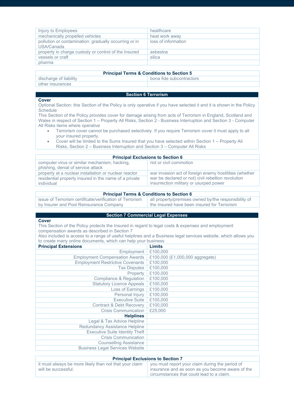| Injury to Employees                                                 | healthcare          |
|---------------------------------------------------------------------|---------------------|
| mechanically propelled vehicles                                     | heat work away      |
| pollution or contamination: gradually occurring or in<br>USA/Canada | loss of information |
| property in charge custody or control of the Insured                | asbestos            |
| vessels or craft                                                    | silica              |
| pharma                                                              |                     |

#### **Principal Terms & Conditions to Section 5**

| discharge of liability | bona fide subcontractors |
|------------------------|--------------------------|
| other insurances       |                          |

# **Section 6 Terrorism**

#### **Cover**

Optional Section: this Section of the Policy is only operative if you have selected it and it is shown in the Policy **Schedule** 

This Section of the Policy provides cover for damage arising from acts of Terrorism in England, Scotland and Wales in respect of Section 1 – Property All Risks, Section 2 - Business Interruption and Section 3 - Computer All Risks items where operative

- Terrorism cover cannot be purchased selectively. If you require Terrorism cover it must apply to all your insured property.
- Cover will be limited to the Sums Insured that you have selected within Section 1 Property All Risks, Section 2 – Business Interruption and Section 3 – Computer All Risks

| <b>Principal Exclusions to Section 6</b>              |                                                        |
|-------------------------------------------------------|--------------------------------------------------------|
| computer virus or similar mechanism, hacking,         | riot or civil commotion                                |
| phishing, denial of service attack                    |                                                        |
| property at a nuclear installation or nuclear reactor | war invasion act of foreign enemy hostilities (whether |
| residential property insured in the name of a private | war be declared or not) civil rebellion revolution     |
| individual                                            | insurrection military or usurped power                 |

#### **Principal Terms & Conditions to Section 6**

issue of Terrorism certificate/verification of Terrorism by Insurer and Pool Reinsurance Company

# all property/premises owned by/the responsibility of the Insured have been insured for Terrorism

# **Section 7 Commercial Legal Expenses**

**Cover** This Section of the Policy protects the Insured in regard to legal costs & expenses and employment compensation awards as described in Section 7

| Also included is access to a range of useful helplines and a Business legal services website, which allows you |  |
|----------------------------------------------------------------------------------------------------------------|--|
| to create many online documents, which can help your business                                                  |  |

| <b>Principal Extensions</b>             | Limits                          |
|-----------------------------------------|---------------------------------|
| Employment                              | £100,000                        |
| <b>Employment Compensation Awards</b>   | £100,000 (£1,000,000 aggregate) |
| <b>Employment Restrictive Covenants</b> | £100,000                        |
| <b>Tax Disputes</b>                     | £100,000                        |
| Property                                | £100,000                        |
| <b>Compliance &amp; Regulation</b>      | £100,000                        |
| <b>Statutory Licence Appeals</b>        | £100,000                        |
| Loss of Earnings                        | £100,000                        |
| Personal Injury                         | £100,000                        |
| <b>Executive Suite</b>                  | £100,000                        |
| <b>Contract &amp; Debt Recovery</b>     | £100,000                        |
| <b>Crisis Communication</b>             | £25,000                         |
| <b>Helplines</b>                        |                                 |
| Legal & Tax Advice Helpline             |                                 |
| Redundancy Assistance Helpline          |                                 |
| <b>Executive Suite Identity Theft</b>   |                                 |
| <b>Crisis Communication</b>             |                                 |
| <b>Counselling Assistance</b>           |                                 |
| <b>Business Legal Services Website</b>  |                                 |

# **Principal Exclusions to Section 7**

| it must always be more likely than not that your claim $\parallel$ you must report your claim during the period of |                                                  |
|--------------------------------------------------------------------------------------------------------------------|--------------------------------------------------|
| will be successful.                                                                                                | insurance and as soon as you become aware of the |
|                                                                                                                    | circumstances that could lead to a claim.        |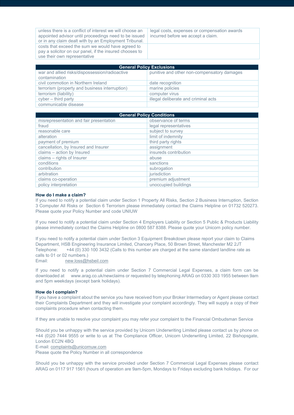unless there is a conflict of interest we will choose an appointed advisor until proceedings need to be issued or in any claim dealt with by an Employment Tribunal. legal costs, expenses or compensation awards incurred before we accept a claim. costs that exceed the sum we would have agreed to pay a solicitor on our panel, if the insured chooses to use their own representative

| <b>General Policy Exclusions</b>                                |                                             |
|-----------------------------------------------------------------|---------------------------------------------|
| war and allied risks/dispossession/radioactive<br>contamination | punitive and other non-compensatory damages |
| civil commotion in Northern Ireland                             | date recognition                            |
| terrorism (property and business interruption)                  | marine policies                             |
| terrorism (liability)                                           | computer virus                              |
| $cyber - third party$                                           | illegal deliberate and criminal acts        |
| communicable disease                                            |                                             |

| <b>General Policy Conditions</b>        |                       |
|-----------------------------------------|-----------------------|
| misrepresentation and fair presentation | observance of terms   |
| fraud                                   | legal representatives |
| reasonable care                         | subject to survey     |
| alteration                              | limit of indemnity    |
| payment of premium                      | third party rights    |
| cancellation, by Insured and Insurer    | assignment            |
| claims - action by Insured              | insureds contribution |
| claims - rights of Insurer              | abuse                 |
| conditions                              | sanctions             |
| contribution                            | subrogation           |
| arbitration                             | jurisdiction          |
| claims co-operation                     | premium adjustment    |
| policy interpretation                   | unoccupied buildings  |

#### **How do I make a claim?**

If you need to notify a potential claim under Section 1 Property All Risks, Section 2 Business Interruption, Section 3 Computer All Risks or Section 6 Terrorism please immediately contact the Claims Helpline on 01732 520273. Please quote your Policy Number and code UNIUW

If you need to notify a potential claim under Section 4 Employers Liability or Section 5 Public & Products Liability please immediately contact the Claims Helpline on 0800 587 8388. Please quote your Unicorn policy number.

If you need to notify a potential claim under Section 3 Equipment Breakdown please report your claim to Claims Department, HSB Engineering Insurance Limited, Chancery Place, 50 Brown Street, Manchester M2 2JT Telephone: +44 (0) 330 100 3432 (Calls to this number are charged at the same standard landline rate as calls to 01 or 02 numbers.)

Email: [new.loss@hsbeil.com](mailto:new.loss@hsbeil.com)

If you need to notify a potential claim under Section 7 Commercial Legal Expenses, a claim form can be downloaded at www.arag.co.uk/newclaims or requested by telephoning ARAG on 0330 303 1955 between 9am and 5pm weekdays (except bank holidays).

#### **How do I complain?**

If you have a complaint about the service you have received from your Broker Intermediary or Agent please contact their Complaints Department and they will investigate your complaint accordingly. They will supply a copy of their complaints procedure when contacting them.

If they are unable to resolve your complaint you may refer your complaint to the Financial Ombudsman Service

Should you be unhappy with the service provided by Unicorn Underwriting Limited please contact us by phone on +44 (0)20 7444 9555 or write to us at The Compliance Officer, Unicorn Underwriting Limited, 22 Bishopsgate, London EC2N 4BQ

E-mail[: complaints@unicornuw.com](mailto:complaints@unicornuw.com)

Please quote the Policy Number in all correspondence

Should you be unhappy with the service provided under Section 7 Commercial Legal Expenses please contact ARAG on 0117 917 1561 (hours of operation are 9am-5pm, Mondays to Fridays excluding bank holidays. For our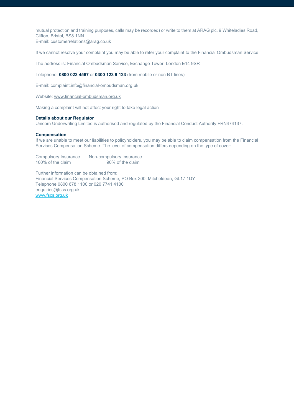mutual protection and training purposes, calls may be recorded) or write to them at ARAG plc, 9 Whiteladies Road, Clifton, Bristol, BS8 1NN. E-mail[: customerrelations@arag.co.uk](mailto:customerrelations@arag.co.uk)

If we cannot resolve your complaint you may be able to refer your complaint to the Financial Ombudsman Service

The address is: Financial Ombudsman Service, Exchange Tower, London E14 9SR

Telephone: **0800 023 4567** or **0300 123 9 123** (from mobile or non BT lines)

E-mail[: complaint.info@financial-ombudsman.org.uk](mailto:complaint.info@financial-ombudsman.org.uk)

Website[: www.financial-ombudsman.org.uk](http://www.financial-ombudsman.org.uk/)

Making a complaint will not affect your right to take legal action

#### **Details about our Regulator**

Unicorn Underwriting Limited is authorised and regulated by the Financial Conduct Authority FRN474137.

#### **Compensation**

If we are unable to meet our liabilities to policyholders, you may be able to claim compensation from the Financial Services Compensation Scheme. The level of compensation differs depending on the type of cover:

Compulsory Insurance Non-compulsory Insurance<br>100% of the claim<br>90% of the claim 100% of the claim

Further information can be obtained from: Financial Services Compensation Scheme, PO Box 300, Mitcheldean, GL17 1DY Telephone 0800 678 1100 or 020 7741 4100 enquiries@fscs.org.uk [www.fscs.org.uk](http://www.fscs.org.uk/)